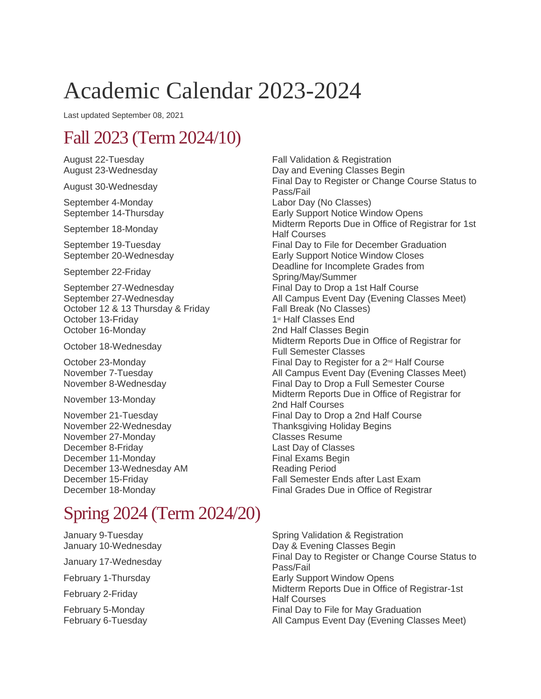# Academic Calendar 2023-2024

Last updated September 08, 2021

## Fall 2023 (Term 2024/10)

September 4-Monday Labor Day (No Classes)

October 12 & 13 Thursday & Friday Fall Break (No Classes) October 13-Friday 1st Half Classes End<br>
October 16-Monday 15 2nd Half Classes Be

November 22-Wednesday Thanksgiving Holiday Begins<br>
November 27-Monday Classes Resume November 27-Monday December 8-Friday Last Day of Classes<br>
December 11-Monday Charles Controller Exams Begin December 11-Monday December 13-Wednesday AM Reading Period December 15-Friday Fall Semester Ends after Last Exam<br>December 18-Monday Final Grades Due in Office of Registr

#### August 22-Tuesday **Fall Validation & Registration** August 23-Wednesday Day and Evening Classes Begin August 30-Wednesday **Final Day to Register or Change Course Status to** Pass/Fail Early Support Notice Window Opens September 18-Monday Midterm Reports Due in Office of Registrar for 1st Half Courses September 19-Tuesday **Final Day to File for December Graduation** September 20-Wednesday Early Support Notice Window Closes September 22-Friday **Deadline** for Incomplete Grades from Spring/May/Summer September 27-Wednesday Final Day to Drop a 1st Half Course September 27-Wednesday **All Campus Event Day (Evening Classes Meet)** All Campus Event Day (Evening Classes Meet) 2nd Half Classes Begin October 18-Wednesday Midterm Reports Due in Office of Registrar for<br>
Full Campater Olacase Full Semester Classes October 23-Monday  $\qquad \qquad$  Final Day to Register for a 2<sup>nd</sup> Half Course November 7-Tuesday <br>
November 8-Wednesday 
All Campus Event Day (Evening Classes Meet)<br>
Final Day to Drop a Full Semester Course Final Day to Drop a Full Semester Course November 13-Monday Midterm Reports Due in Office of Registrar for 2nd Half Courses November 21-Tuesday **Final Day to Drop a 2nd Half Course**

### Spring 2024 (Term 2024/20)

January 9-Tuesday **Supersets** Spring Validation & Registration

January 10-Wednesday **Day & Evening Classes Begin** January 17-Wednesday Final Day to Register or Change Course Status to Pass/Fail February 1-Thursday **Early Support Window Opens** February 2-Friday Midterm Reports Due in Office of Registrar-1st Half Courses February 5-Monday **Final Day to File for May Graduation** February 6-Tuesday **All Campus Event Day (Evening Classes Meet)** All Campus Event Day (Evening Classes Meet)

Final Grades Due in Office of Registrar